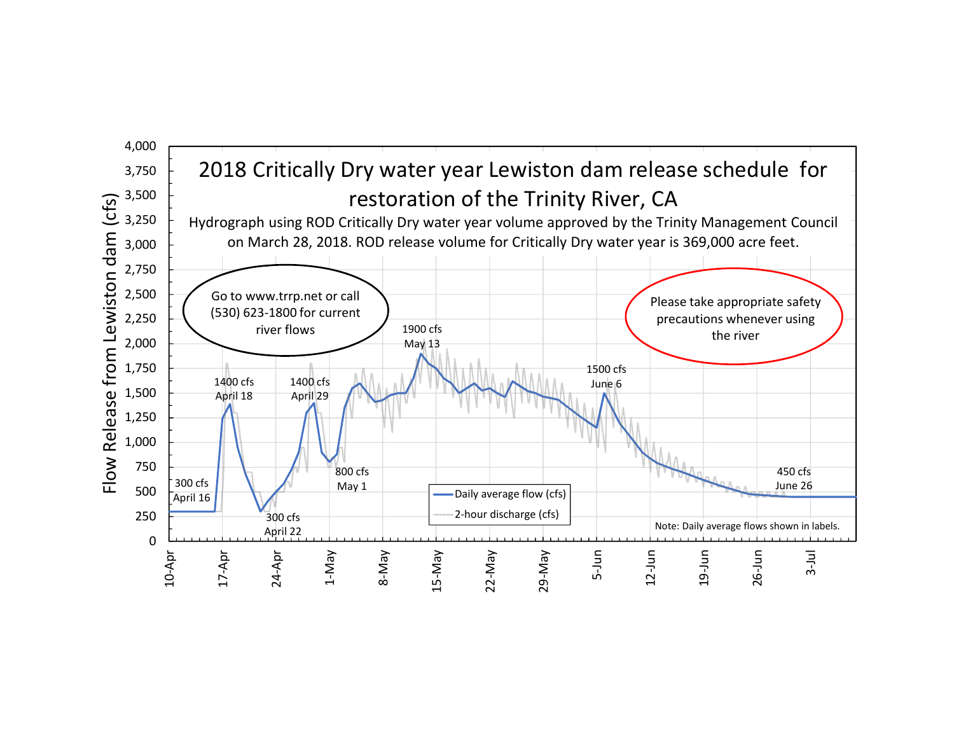